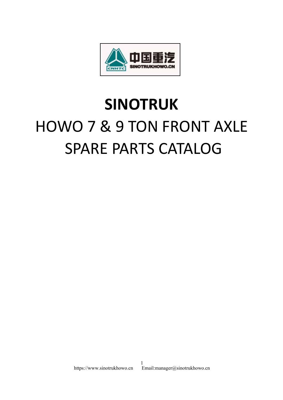

## **SINOTRUK** HOWO 7 & 9 TON FRONT AXLE SPARE PARTS CATALOG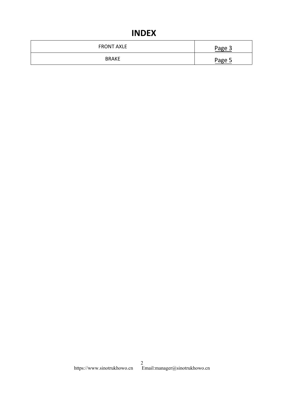## **INDEX**

| <b>INDEX</b>      |        |
|-------------------|--------|
| <b>FRONT AXLE</b> | Page 3 |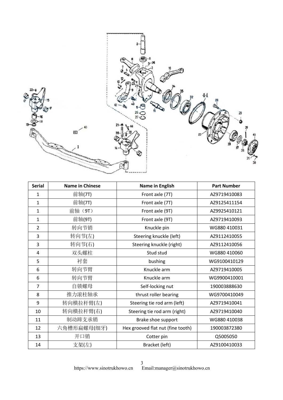<span id="page-2-0"></span>

| <b>Serial</b>  | <b>Name in Chinese</b> | Name in English                   | <b>Part Number</b> |
|----------------|------------------------|-----------------------------------|--------------------|
| 1              | 前轴(7T)                 | Front axle (7T)                   | AZ9719410083       |
| 1              | 前轴(7T)                 | Front axle (7T)                   | AZ9125411154       |
| 1              | 前轴 (9T)                | Front axle (9T)                   | AZ9925410121       |
| $\mathbf{1}$   | 前轴(9T)                 | Front axle (9T)                   | AZ9719410093       |
| $\overline{2}$ | 转向节销                   | Knuckle pin                       | WG880 410031       |
| 3              | 转向节(左)                 | Steering knuckle (left)           | AZ9112410055       |
| 3              | 转向节(右)                 | Steering knuckle (right)          | AZ9112410056       |
| $\overline{4}$ | 双头螺柱                   | Stud stud                         | WG880 410060       |
| 5              | 衬套                     | bushing                           | WG9100410129       |
| 6              | 转向节臂                   | Knuckle arm                       | AZ9719410005       |
| 6              | 转向节臂                   | Knuckle arm                       | WG9900410001       |
| $\overline{7}$ | 自锁螺母                   | Self-locking nut                  | 190003888630       |
| 8              | 推力滚柱轴承                 | thrust roller bearing             | WG9700410049       |
| 9              | 转向横拉杆臂(左)              | Steering tie rod arm (left)       | AZ9719410041       |
| 10             | 转向横拉杆臂(右)              | Steering tie rod arm (right)      | AZ9719410040       |
| 11             | 制动蹄支承销                 | Brake shoe support                | WG880 410038       |
| 12             | 六角槽形扁螺母(细牙)            | Hex grooved flat nut (fine tooth) | 190003872380       |
| 13             | 开口销                    | Cotter pin                        | Q5005050           |
| 14             | 支架(左)                  | Bracket (left)                    | AZ9100410033       |

https://www.sinotrukhowo.cn Email:manager@sinotrukhowo.cn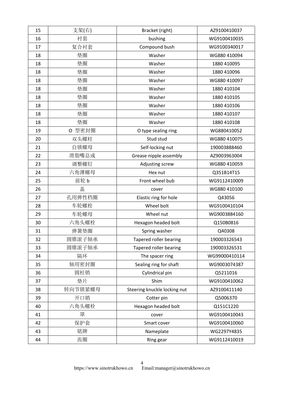| 15 | 支架(右)   | Bracket (right)              | AZ9100410037  |
|----|---------|------------------------------|---------------|
| 16 | 衬套      | bushing                      | WG9100410035  |
| 17 | 复合衬套    | Compound bush                | WG9100340017  |
| 18 | 垫圈      | Washer                       | WG880 410094  |
| 18 | 垫圈      | Washer                       | 1880 410095   |
| 18 | 垫圈      | Washer                       | 1880 410096   |
| 18 | 垫圈      | Washer                       | WG880 410097  |
| 18 | 垫圈      | Washer                       | 1880 410104   |
| 18 | 垫圈      | Washer                       | 1880 410105   |
| 18 | 垫圈      | Washer                       | 1880 410106   |
| 18 | 垫圈      | Washer                       | 1880 410107   |
| 18 | 垫圈      | Washer                       | 1880 410108   |
| 19 | O 型密封圈  | O type sealing ring          | WG880410052   |
| 20 | 双头螺柱    | Stud stud                    | WG880 410075  |
| 21 | 自锁螺母    | Self-locking nut             | 190003888460  |
| 22 | 滑脂嘴总成   | Grease nipple assembly       | AZ9003963004  |
| 23 | 调整螺钉    | Adjusting screw              | WG880 410059  |
| 24 | 六角薄螺母   | Hex nut                      | Q351B14T15    |
| 25 | 前轮 b    | Front wheel bub              | WG9112410009  |
| 26 | 盖       | cover                        | WG880 410100  |
| 27 | 孔用弹性档圈  | Elastic ring for hole        | Q43056        |
| 28 | 车轮螺栓    | Wheel bolt                   | WG9100410104  |
| 29 | 车轮螺母    | Wheel nut                    | WG9003884160  |
| 30 | 六角头螺栓   | Hexagon headed bolt          | Q150B0816     |
| 31 | 弹簧垫圈    | Spring washer                | Q40308        |
| 32 | 圆锥滚子轴承  | Tapered roller bearing       | 190003326543  |
| 33 | 圆锥滚子轴承  | Tapered roller bearing       | 190003326531  |
| 34 | 隔环      | The spacer ring              | WG99000410114 |
| 35 | 轴用密封圈   | Sealing ring for shaft       | WG9003074387  |
| 36 | 圆柱销     | Cylindrical pin              | Q5211016      |
| 37 | 垫片      | Shim                         | WG9100410062  |
| 38 | 转向节锁紧螺母 | Steering knuckle locking nut | AZ9100411140  |
| 39 | 开口销     | Cotter pin                   | Q5006370      |
| 40 | 六角头螺栓   | Hexagon headed bolt          | Q151C1220     |
| 41 | 罩       | cover                        | WG9100410043  |
| 42 | 保护套     | Smart cover                  | WG9100410060  |
| 43 | 铭牌      | Nameplate                    | WG2297Y4835   |
| 44 | 齿圈      | Ring gear                    | WG9112410019  |
|    |         |                              |               |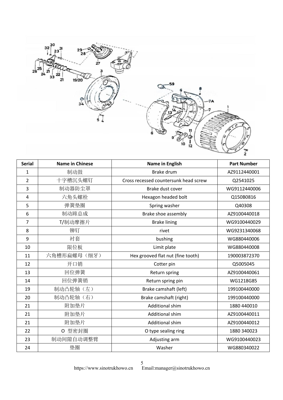<span id="page-4-0"></span>

| <b>Serial</b>  | <b>Name in Chinese</b> | Name in English                       | <b>Part Number</b> |
|----------------|------------------------|---------------------------------------|--------------------|
| $\mathbf{1}$   | 制动鼓                    | <b>Brake drum</b>                     | AZ9112440001       |
| $\overline{2}$ | 十字槽沉头螺钉                | Cross recessed countersunk head screw | Q2541025           |
| 3              | 制动器防尘罩                 | Brake dust cover                      | WG9112440006       |
| 4              | 六角头螺栓                  | Hexagon headed bolt                   | Q150B0816          |
| 5              | 弹簧垫圈                   | Spring washer                         | Q40308             |
| 6              | 制动蹄总成                  | Brake shoe assembly                   | AZ9100440018       |
| $\overline{7}$ | T/制动摩擦片                | <b>Brake lining</b>                   | WG9100440029       |
| 8              | 铆钉                     | rivet                                 | WG9231340068       |
| 9              | 衬套                     | bushing                               | WG880440006        |
| 10             | 限位板                    | Limit plate                           | WG880440008        |
| 11             | 六角槽形扁螺母(细牙)            | Hex grooved flat nut (fine tooth)     | 190003872370       |
| 12             | 开口销                    | Cotter pin                            | Q5005045           |
| 13             | 回位弹簧                   | Return spring                         | AZ9100440061       |
| 14             | 回位弹簧销                  | Return spring pin                     | WG1218G85          |
| 19             | 制动凸轮轴(左)               | Brake camshaft (left)                 | 199100440000       |
| 20             | 制动凸轮轴(右)               | Brake camshaft (right)                | 199100440000       |
| 21             | 附加垫片                   | <b>Additional shim</b>                | 1880 440010        |
| 21             | 附加垫片                   | <b>Additional shim</b>                | AZ9100440011       |
| 21             | 附加垫片                   | Additional shim                       | AZ9100440012       |
| 22             | O 型密封圈                 | O type sealing ring                   | 1880 340023        |
| 23             | 制动间隙自动调整臂              | Adjusting arm                         | WG9100440023       |
| 24             | 垫圈                     | Washer                                | WG880340022        |

https://www.sinotrukhowo.cn Email:manager@sinotrukhowo.cn